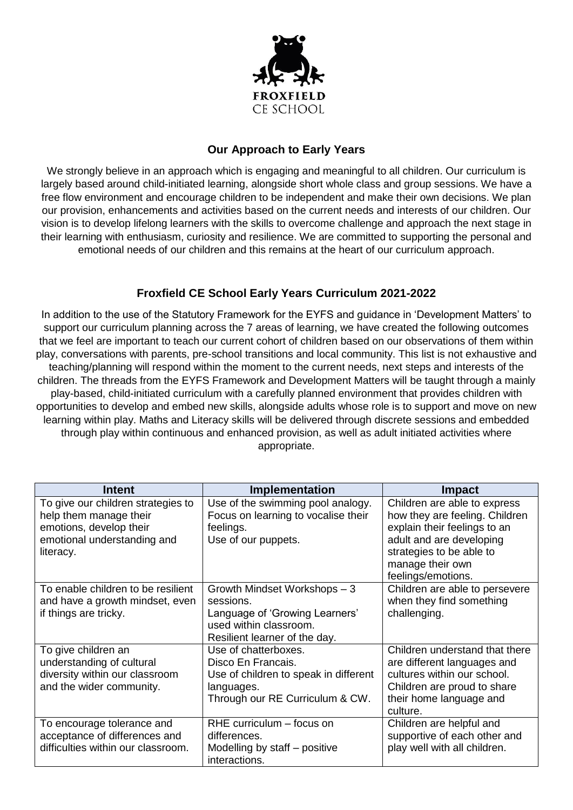

## **Our Approach to Early Years**

We strongly believe in an approach which is engaging and meaningful to all children. Our curriculum is largely based around child-initiated learning, alongside short whole class and group sessions. We have a free flow environment and encourage children to be independent and make their own decisions. We plan our provision, enhancements and activities based on the current needs and interests of our children. Our vision is to develop lifelong learners with the skills to overcome challenge and approach the next stage in their learning with enthusiasm, curiosity and resilience. We are committed to supporting the personal and emotional needs of our children and this remains at the heart of our curriculum approach.

## **Froxfield CE School Early Years Curriculum 2021-2022**

In addition to the use of the Statutory Framework for the EYFS and guidance in 'Development Matters' to support our curriculum planning across the 7 areas of learning, we have created the following outcomes that we feel are important to teach our current cohort of children based on our observations of them within play, conversations with parents, pre-school transitions and local community. This list is not exhaustive and teaching/planning will respond within the moment to the current needs, next steps and interests of the children. The threads from the EYFS Framework and Development Matters will be taught through a mainly play-based, child-initiated curriculum with a carefully planned environment that provides children with opportunities to develop and embed new skills, alongside adults whose role is to support and move on new learning within play. Maths and Literacy skills will be delivered through discrete sessions and embedded through play within continuous and enhanced provision, as well as adult initiated activities where appropriate.

| <b>Intent</b>                                                                                                                       | Implementation                                                                                                                         | <b>Impact</b>                                                                                                                                                                                    |
|-------------------------------------------------------------------------------------------------------------------------------------|----------------------------------------------------------------------------------------------------------------------------------------|--------------------------------------------------------------------------------------------------------------------------------------------------------------------------------------------------|
| To give our children strategies to<br>help them manage their<br>emotions, develop their<br>emotional understanding and<br>literacy. | Use of the swimming pool analogy.<br>Focus on learning to vocalise their<br>feelings.<br>Use of our puppets.                           | Children are able to express<br>how they are feeling. Children<br>explain their feelings to an<br>adult and are developing<br>strategies to be able to<br>manage their own<br>feelings/emotions. |
| To enable children to be resilient<br>and have a growth mindset, even<br>if things are tricky.                                      | Growth Mindset Workshops - 3<br>sessions.<br>Language of 'Growing Learners'<br>used within classroom.<br>Resilient learner of the day. | Children are able to persevere<br>when they find something<br>challenging.                                                                                                                       |
| To give children an<br>understanding of cultural<br>diversity within our classroom<br>and the wider community.                      | Use of chatterboxes.<br>Disco En Francais.<br>Use of children to speak in different<br>languages.<br>Through our RE Curriculum & CW.   | Children understand that there<br>are different languages and<br>cultures within our school.<br>Children are proud to share<br>their home language and<br>culture.                               |
| To encourage tolerance and<br>acceptance of differences and<br>difficulties within our classroom.                                   | RHE curriculum – focus on<br>differences.<br>Modelling by staff – positive<br>interactions.                                            | Children are helpful and<br>supportive of each other and<br>play well with all children.                                                                                                         |